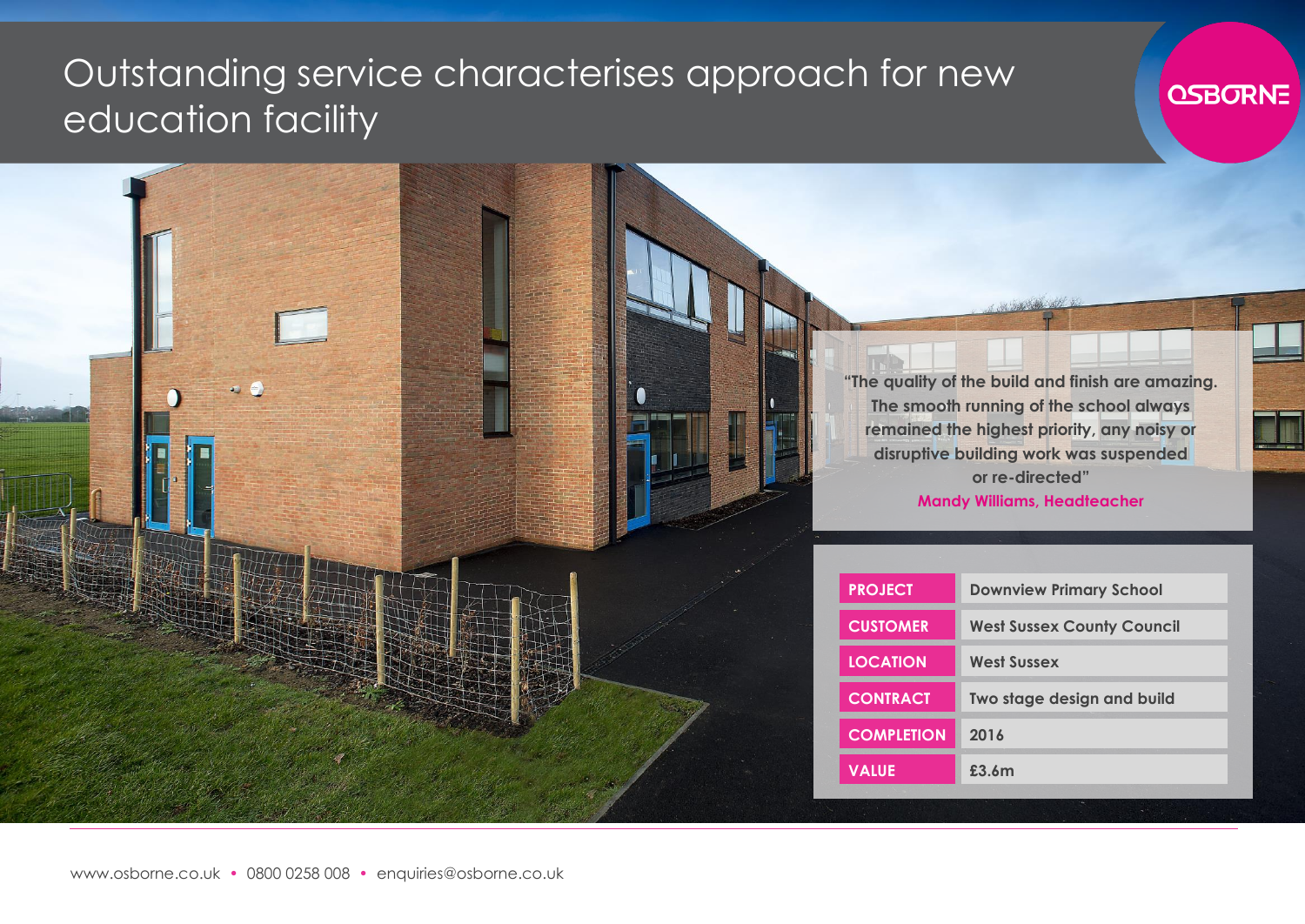## Outstanding service characterises approach for new education facility





| <b>PROJECT</b>    | <b>Downview Primary School</b>    |
|-------------------|-----------------------------------|
| <b>CUSTOMER</b>   | <b>West Sussex County Council</b> |
| <b>LOCATION</b>   | <b>West Sussex</b>                |
| <b>CONTRACT</b>   | Two stage design and build        |
| <b>COMPLETION</b> | 2016                              |
| <b>VALUE</b>      | £3.6m                             |
|                   |                                   |